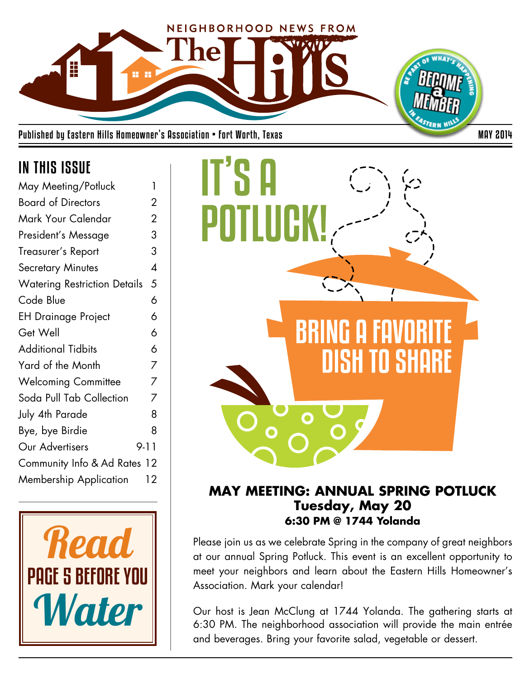

Published by Eastern Hills Homeowner's Association • Fort Worth, Texas MAY 2014

## IN THIS ISSUE

| May Meeting/Potluck                 | 1                        |
|-------------------------------------|--------------------------|
| <b>Board of Directors</b>           | 2                        |
| Mark Your Calendar                  | $\overline{2}$           |
| President's Message                 | 3                        |
| Treasurer's Report                  | 3                        |
| <b>Secretary Minutes</b>            | $\overline{\mathcal{A}}$ |
| <b>Watering Restriction Details</b> | 5                        |
| Code Blue                           | 6                        |
| <b>EH Drainage Project</b>          | 6                        |
| Get Well                            | 6                        |
| <b>Additional Tidbits</b>           | 6                        |
| Yard of the Month                   | 7                        |
| <b>Welcoming Committee</b>          | 7                        |
| Soda Pull Tab Collection            | 7                        |
| July 4th Parade                     | 8                        |
| Bye, bye Birdie                     | 8                        |
| Our Advertisers                     | 9-11                     |
| Community Info & Ad Rates 12        |                          |
| <b>Membership Application</b>       | 12                       |
|                                     |                          |





## **MAY MEETING: ANNUAL SPRING POTLUCK Tuesday, May 20 6:30 PM @ 1744 Yolanda**

Please join us as we celebrate Spring in the company of great neighbors at our annual Spring Potluck. This event is an excellent opportunity to meet your neighbors and learn about the Eastern Hills Homeowner's Association. Mark your calendar!

Our host is Jean McClung at 1744 Yolanda. The gathering starts at 6:30 PM. The neighborhood association will provide the main entrée and beverages. Bring your favorite salad, vegetable or dessert.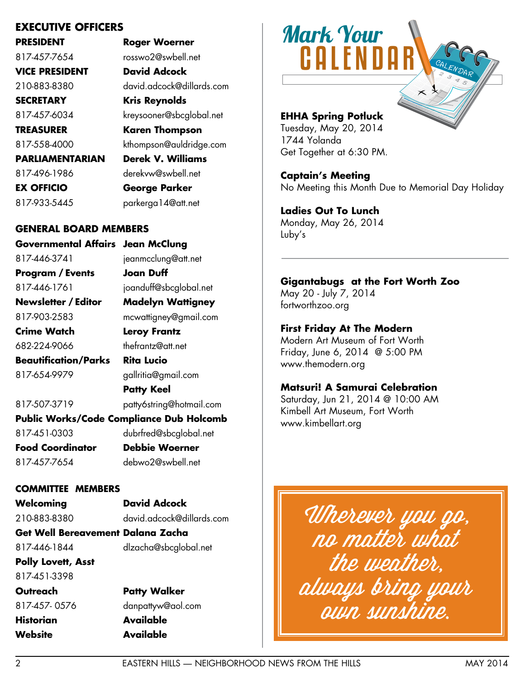## **EXECUTIVE OFFICERS**

**PRESIDENT Roger Woerner**

817-457-7654 rosswo2@swbell.net **VICE PRESIDENT David Adcock**

**PARLIAMENTARIAN Derek V. Williams**

210-883-8380 david.adcock@dillards.com **SECRETARY Kris Reynolds** 817-457-6034 kreysooner@sbcglobal.net **TREASURER Karen Thompson**

817-558-4000 kthompson@auldridge.com

817-496-1986 derekvw@swbell.net

**EX OFFICIO George Parker** 817-933-5445 parkerga14@att.net

## **GENERAL BOARD MEMBERS**

**Governmental Affairs Jean McClung** 817-446-3741 jeanmcclung@att.net **Program / Events Joan Duff** 817-446-1761 joanduff@sbcglobal.net **Newsletter / Editor Madelyn Wattigney** 817-903-2583 mcwattigney@gmail.com **Crime Watch Leroy Frantz** 682-224-9066 thefrantz@att.net **Beautification/Parks Rita Lucio** 817-654-9979 gallritia@gmail.com **Patty Keel** 817-507-3719 patty6string@hotmail.com **Public Works/Code Compliance Dub Holcomb** 

817-451-0303 dubrfred@sbcglobal.net

**Food Coordinator Debbie Woerner**

817-457-7654 debwo2@swbell.net

### **COMMITTEE MEMBERS**

**Welcoming David Adcock**

210-883-8380 david.adcock@dillards.com

**Get Well Bereavement Dalana Zacha** 817-446-1844 dlzacha@sbcglobal.net

**Polly Lovett, Asst** 817-451-3398

**Website Available**

**Outreach Patty Walker** 817-457- 0576 danpattyw@aol.com **Historian Available**



## **EHHA Spring Potluck**

Tuesday, May 20, 2014 1744 Yolanda Get Together at 6:30 PM.

## **Captain's Meeting**

No Meeting this Month Due to Memorial Day Holiday

**Ladies Out To Lunch** Monday, May 26, 2014 Luby's

### **Gigantabugs at the Fort Worth Zoo**

May 20 - July 7, 2014 fortworthzoo.org

### **First Friday At The Modern**

Modern Art Museum of Fort Worth Friday, June 6, 2014 @ 5:00 PM www.themodern.org

### **Matsuri! A Samurai Celebration**

Saturday, Jun 21, 2014 @ 10:00 AM Kimbell Art Museum, Fort Worth www.kimbellart.org

Wherever you go, no matter what the weather, always bring your own sunshine.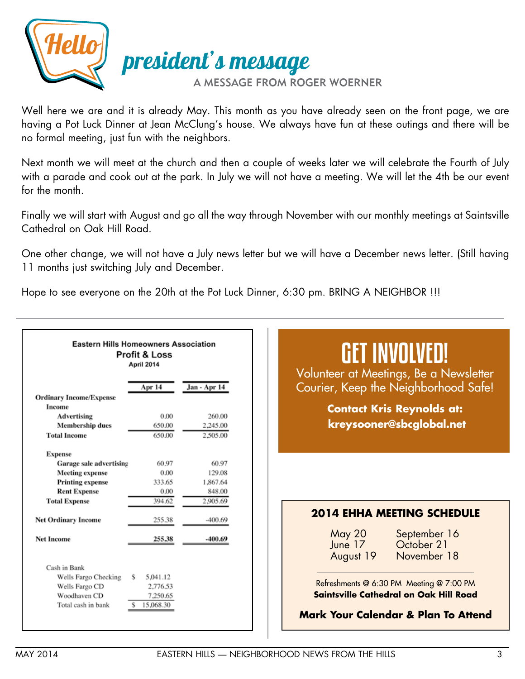

Well here we are and it is already May. This month as you have already seen on the front page, we are having a Pot Luck Dinner at Jean McClung's house. We always have fun at these outings and there will be no formal meeting, just fun with the neighbors.

Next month we will meet at the church and then a couple of weeks later we will celebrate the Fourth of July with a parade and cook out at the park. In July we will not have a meeting. We will let the 4th be our event for the month.

Finally we will start with August and go all the way through November with our monthly meetings at Saintsville Cathedral on Oak Hill Road.

One other change, we will not have a July news letter but we will have a December news letter. (Still having 11 months just switching July and December.

Hope to see everyone on the 20th at the Pot Luck Dinner, 6:30 pm. BRING A NEIGHBOR !!!

| <b>Eastern Hills Homeowners Association</b> | <b>Profit &amp; Loss</b><br>April 2014 |              | GET INVOLVED!<br>Volunteer at Meetings, Be a Newsletter                  |
|---------------------------------------------|----------------------------------------|--------------|--------------------------------------------------------------------------|
|                                             | Apr 14                                 | Jan - Apr 14 | Courier, Keep the Neighborhood Safe!                                     |
| <b>Ordinary Income/Expense</b><br>Income    |                                        |              | <b>Contact Kris Reynolds at:</b>                                         |
| <b>Advertising</b>                          | 0.00                                   | 260.00       |                                                                          |
| <b>Membership dues</b>                      | 650.00                                 | 2.245.00     | kreysooner@sbcglobal.net                                                 |
| <b>Total Income</b>                         | 650.00                                 | 2,505.00     |                                                                          |
| <b>Expense</b>                              |                                        |              |                                                                          |
| Garage sale advertising                     | 60.97                                  | 60.97        |                                                                          |
| <b>Meeting expense</b>                      | 0.00                                   | 129.08       |                                                                          |
| <b>Printing expense</b>                     | 333.65                                 | 1.867.64     |                                                                          |
| <b>Rent Expense</b>                         | 0.00                                   | 848.00       |                                                                          |
| <b>Total Expense</b>                        | 394.62                                 | 2.905.69     |                                                                          |
| <b>Net Ordinary Income</b>                  | 255.38                                 | $-400.69$    | <b>2014 EHHA MEETING SCHEDULE</b>                                        |
| <b>Net Income</b>                           | 255.38                                 | $-400.69$    | May 20<br>September 16<br>June 17 October 21<br>November 18<br>August 19 |
| Cash in Bank                                |                                        |              |                                                                          |
| Wells Fargo Checking<br>s                   | 5.041.12                               |              |                                                                          |
| Wells Fargo CD                              | 2,776.53                               |              | Refreshments @ 6:30 PM Meeting @ 7:00 PM                                 |
| Woodhaven CD                                | 7,250.65                               |              | <b>Saintsville Cathedral on Oak Hill Road</b>                            |
| Total cash in bank                          | 15,068.30                              |              | <b>Mark Your Calendar &amp; Plan To Attend</b>                           |
|                                             |                                        |              |                                                                          |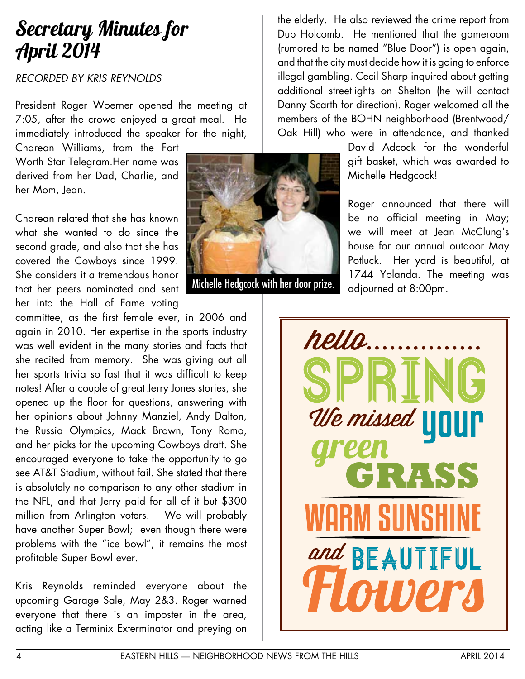## Secretary Minutes for April 2014

## *RECORDED BY KRIS REYNOLDS*

President Roger Woerner opened the meeting at 7:05, after the crowd enjoyed a great meal. He immediately introduced the speaker for the night,

Charean Williams, from the Fort Worth Star Telegram.Her name was derived from her Dad, Charlie, and her Mom, Jean.

Charean related that she has known what she wanted to do since the second grade, and also that she has covered the Cowboys since 1999. She considers it a tremendous honor that her peers nominated and sent her into the Hall of Fame voting

committee, as the first female ever, in 2006 and again in 2010. Her expertise in the sports industry was well evident in the many stories and facts that she recited from memory. She was giving out all her sports trivia so fast that it was difficult to keep notes! After a couple of great Jerry Jones stories, she opened up the floor for questions, answering with her opinions about Johnny Manziel, Andy Dalton, the Russia Olympics, Mack Brown, Tony Romo, and her picks for the upcoming Cowboys draft. She encouraged everyone to take the opportunity to go see AT&T Stadium, without fail. She stated that there is absolutely no comparison to any other stadium in the NFL, and that Jerry paid for all of it but \$300 million from Arlington voters. We will probably have another Super Bowl; even though there were problems with the "ice bowl", it remains the most profitable Super Bowl ever.

Kris Reynolds reminded everyone about the upcoming Garage Sale, May 2&3. Roger warned everyone that there is an imposter in the area, acting like a Terminix Exterminator and preying on



Michelle Hedgcock with her door prize. adjourned at 8:00pm.

the elderly. He also reviewed the crime report from Dub Holcomb. He mentioned that the gameroom (rumored to be named "Blue Door") is open again, and that the city must decide how it is going to enforce illegal gambling. Cecil Sharp inquired about getting additional streetlights on Shelton (he will contact Danny Scarth for direction). Roger welcomed all the members of the BOHN neighborhood (Brentwood/ Oak Hill) who were in attendance, and thanked

> David Adcock for the wonderful gift basket, which was awarded to Michelle Hedgcock!

Roger announced that there will be no official meeting in May; we will meet at Jean McClung's house for our annual outdoor May Potluck. Her yard is beautiful, at 1744 Yolanda. The meeting was

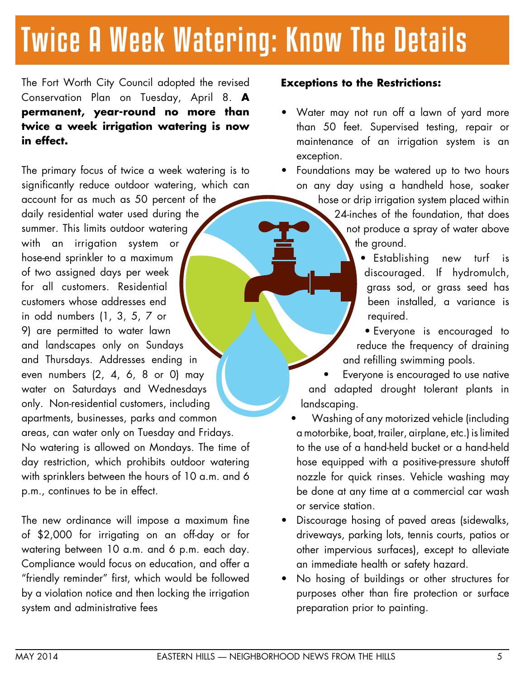# Twice A Week Watering: Know The Details

The Fort Worth City Council adopted the revised Conservation Plan on Tuesday, April 8. **A permanent, year-round no more than twice a week irrigation watering is now in effect.**

The primary focus of twice a week watering is to significantly reduce outdoor watering, which can account for as much as 50 percent of the daily residential water used during the summer. This limits outdoor watering with an irrigation system or hose-end sprinkler to a maximum of two assigned days per week for all customers. Residential customers whose addresses end in odd numbers (1, 3, 5, 7 or 9) are permitted to water lawn and landscapes only on Sundays and Thursdays. Addresses ending in even numbers (2, 4, 6, 8 or 0) may water on Saturdays and Wednesdays only. Non-residential customers, including apartments, businesses, parks and common areas, can water only on Tuesday and Fridays. No watering is allowed on Mondays. The time of day restriction, which prohibits outdoor watering with sprinklers between the hours of 10 a.m. and 6 p.m., continues to be in effect.

The new ordinance will impose a maximum fine of \$2,000 for irrigating on an off-day or for watering between 10 a.m. and 6 p.m. each day. Compliance would focus on education, and offer a "friendly reminder" first, which would be followed by a violation notice and then locking the irrigation system and administrative fees

## **Exceptions to the Restrictions:**

Water may not run off a lawn of yard more than 50 feet. Supervised testing, repair or maintenance of an irrigation system is an exception.

Foundations may be watered up to two hours on any day using a handheld hose, soaker hose or drip irrigation system placed within 24-inches of the foundation, that does not produce a spray of water above the ground.

- Establishing new turf is discouraged. If hydromulch, grass sod, or grass seed has been installed, a variance is required.
- • Everyone is encouraged to reduce the frequency of draining and refilling swimming pools.

Everyone is encouraged to use native and adapted drought tolerant plants in landscaping.

- Washing of any motorized vehicle (including a motorbike, boat, trailer, airplane, etc.) is limited to the use of a hand-held bucket or a hand-held hose equipped with a positive-pressure shutoff nozzle for quick rinses. Vehicle washing may be done at any time at a commercial car wash or service station.
- Discourage hosing of paved areas (sidewalks, driveways, parking lots, tennis courts, patios or other impervious surfaces), except to alleviate an immediate health or safety hazard.
- No hosing of buildings or other structures for purposes other than fire protection or surface preparation prior to painting.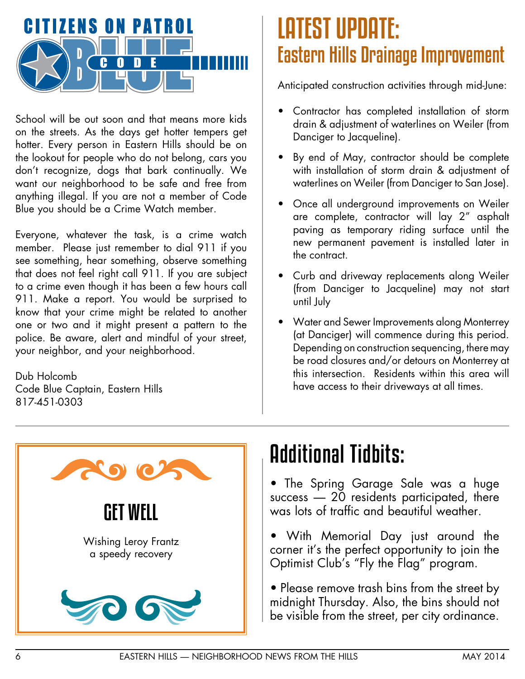

School will be out soon and that means more kids on the streets. As the days get hotter tempers get hotter. Every person in Eastern Hills should be on the lookout for people who do not belong, cars you don't recognize, dogs that bark continually. We want our neighborhood to be safe and free from anything illegal. If you are not a member of Code Blue you should be a Crime Watch member.

Everyone, whatever the task, is a crime watch member. Please just remember to dial 911 if you see something, hear something, observe something that does not feel right call 911. If you are subject to a crime even though it has been a few hours call 911. Make a report. You would be surprised to know that your crime might be related to another one or two and it might present a pattern to the police. Be aware, alert and mindful of your street, your neighbor, and your neighborhood.

Dub Holcomb Code Blue Captain, Eastern Hills 817-451-0303

## LATEST UPDATE: Eastern Hills Drainage Improvement

Anticipated construction activities through mid-June:

- Contractor has completed installation of storm drain & adjustment of waterlines on Weiler (from Danciger to Jacqueline).
- By end of May, contractor should be complete with installation of storm drain & adjustment of waterlines on Weiler (from Danciger to San Jose).
- Once all underground improvements on Weiler are complete, contractor will lay 2" asphalt paving as temporary riding surface until the new permanent pavement is installed later in the contract.
- • Curb and driveway replacements along Weiler (from Danciger to Jacqueline) may not start until July
- • Water and Sewer Improvements along Monterrey (at Danciger) will commence during this period. Depending on construction sequencing, there may be road closures and/or detours on Monterrey at this intersection. Residents within this area will have access to their driveways at all times.



## Additional Tidbits:

- The Spring Garage Sale was a huge success — 20 residents participated, there was lots of traffic and beautiful weather.
- With Memorial Day just around the corner it's the perfect opportunity to join the Optimist Club's "Fly the Flag" program.
- Please remove trash bins from the street by midnight Thursday. Also, the bins should not be visible from the street, per city ordinance.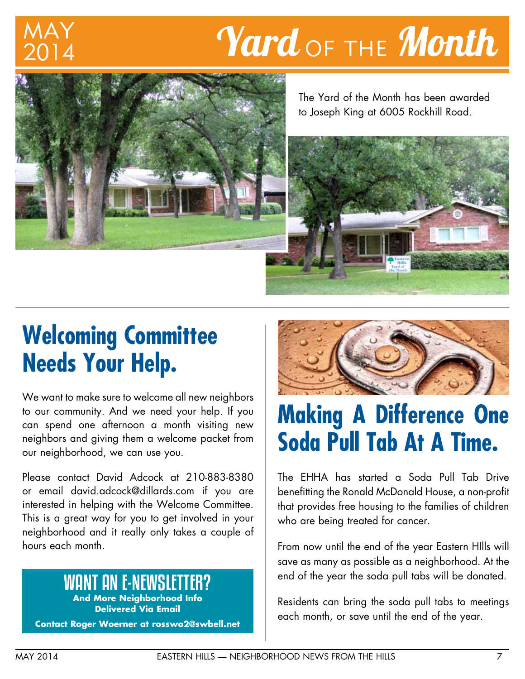# 2014

# $\boldsymbol{Y}$ ard <sub>OF THE</sub> Month



The Yard of the Month has been awarded to Joseph King at 6005 Rockhill Road.



## **Welcoming Committee Needs Your Help.**

We want to make sure to welcome all new neighbors to our community. And we need your help. If you can spend one afternoon a month visiting new neighbors and giving them a welcome packet from our neighborhood, we can use you.

Please contact David Adcock at 210-883-8380 or email david.adcock@dillards.com if you are interested in helping with the Welcome Committee. This is a great way for you to get involved in your neighborhood and it really only takes a couple of hours each month.

## WANT AN E-NEWSLETTER?

**And More Neighborhood Info Delivered Via Email**

**Contact Roger Woerner at rosswo2@swbell.net**



## **Making A Difference One Soda Pull Tab At A Time.**

The EHHA has started a Soda Pull Tab Drive benefitting the Ronald McDonald House, a non-profit that provides free housing to the families of children who are being treated for cancer.

From now until the end of the year Eastern HIlls will save as many as possible as a neighborhood. At the end of the year the soda pull tabs will be donated.

Residents can bring the soda pull tabs to meetings each month, or save until the end of the year.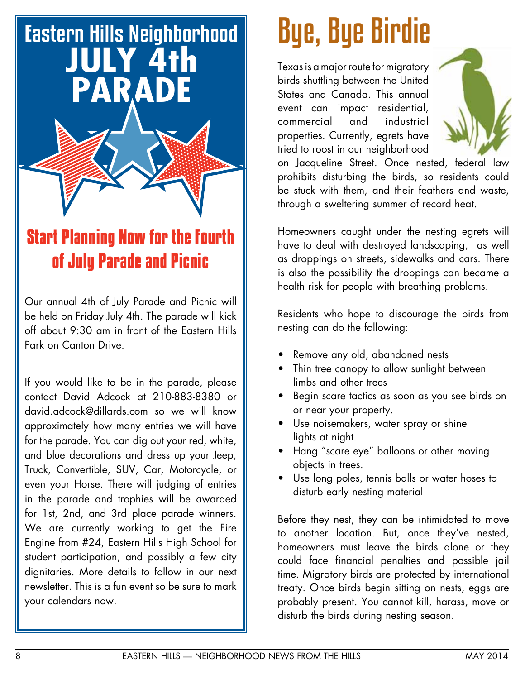# Eastern Hills Neighborhood **JULY 4th PARADE**

## **Start Planning Now for the Fourth of July Parade and Picnic**

Our annual 4th of July Parade and Picnic will be held on Friday July 4th. The parade will kick off about 9:30 am in front of the Eastern Hills Park on Canton Drive.

If you would like to be in the parade, please contact David Adcock at 210-883-8380 or david.adcock@dillards.com so we will know approximately how many entries we will have for the parade. You can dig out your red, white, and blue decorations and dress up your Jeep, Truck, Convertible, SUV, Car, Motorcycle, or even your Horse. There will judging of entries in the parade and trophies will be awarded for 1st, 2nd, and 3rd place parade winners. We are currently working to get the Fire Engine from #24, Eastern Hills High School for student participation, and possibly a few city dignitaries. More details to follow in our next newsletter. This is a fun event so be sure to mark your calendars now.

# Bye, Bye Birdie

Texas is a major route for migratory birds shuttling between the United States and Canada. This annual event can impact residential, commercial and industrial properties. Currently, egrets have tried to roost in our neighborhood



on Jacqueline Street. Once nested, federal law prohibits disturbing the birds, so residents could be stuck with them, and their feathers and waste, through a sweltering summer of record heat.

Homeowners caught under the nesting egrets will have to deal with destroyed landscaping, as well as droppings on streets, sidewalks and cars. There is also the possibility the droppings can became a health risk for people with breathing problems.

Residents who hope to discourage the birds from nesting can do the following:

- Remove any old, abandoned nests
- Thin tree canopy to allow sunlight between limbs and other trees
- Begin scare tactics as soon as you see birds on or near your property.
- • Use noisemakers, water spray or shine lights at night.
- Hang "scare eye" balloons or other moving objects in trees.
- Use long poles, tennis balls or water hoses to disturb early nesting material

Before they nest, they can be intimidated to move to another location. But, once they've nested, homeowners must leave the birds alone or they could face financial penalties and possible jail time. Migratory birds are protected by international treaty. Once birds begin sitting on nests, eggs are probably present. You cannot kill, harass, move or disturb the birds during nesting season.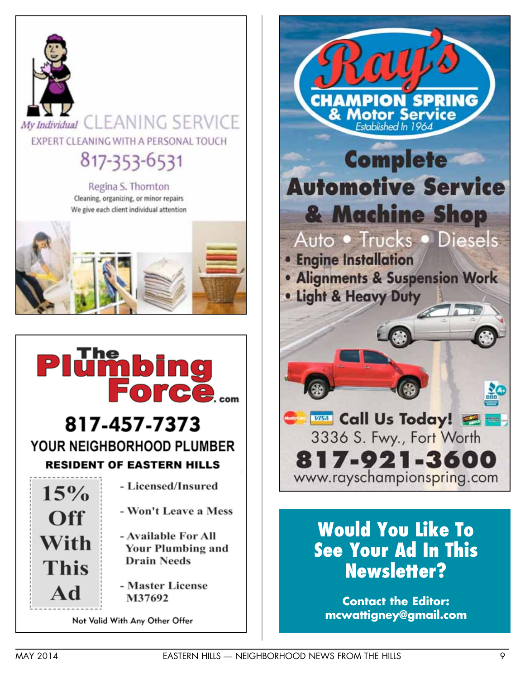

Not Valid With Any Other Offer



## **Would You Like To See Your Ad In This Newsletter?**

**Contact the Editor: mcwattigney@gmail.com**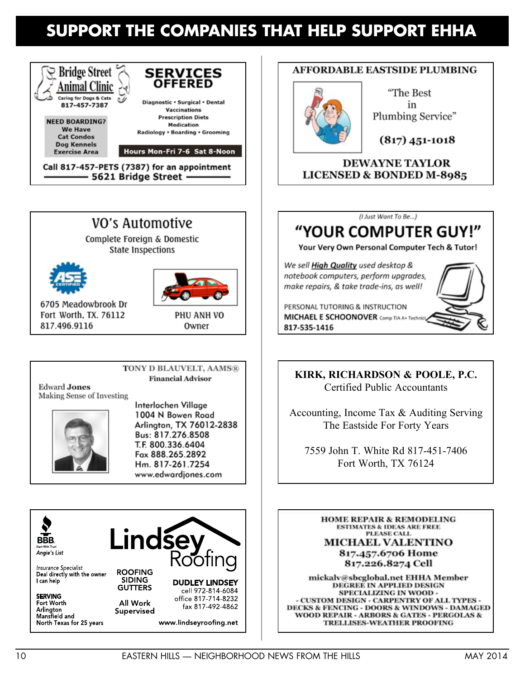## SUPPORT THE COMPANIES THAT HELP SUPPORT EHHA



- 5621 Bridge Street -

## VO's Automotive

Complete Foreign & Domestic **State Inspections** 





Owner

6705 Meadowbrook Dr Fort Worth, TX, 76112 817.496.9116

TONY D BLAUVELT, AAMS®

**Financial Advisor** 

**Edward Jones** Making Sense of Investing



Interlochen Village 1004 N Bowen Road Arlington, TX 76012-2838 Bus: 817.276.8508 T.F. 800.336.6404 Fax 888.265.2892 Hm. 817-261.7254 www.edwardjones.com



Insurance Specialist Deal directly with the owner I can help

**SERVING** Fort Worth Arlinaton Mansfield and North Texas for 25 years



Supervised

fax 817-492-4862

www.lindseyroofing.net

### **AFFORDABLE EASTSIDE PLUMBING**



"The Best in Plumbing Service"

 $(817)$  451-1018

**DEWAYNE TAYLOR LICENSED & BONDED M-8985** 



## "YOUR COMPUTER GUY!"

Your Very Own Personal Computer Tech & Tutor!

We sell High Quality used desktop & notebook computers, perform upgrades, make repairs, & take trade-ins, as well!

PERSONAL TUTORING & INSTRUCTION **MICHAEL E SCHOONOVER** Comp TIA A+ Technic 817-535-1416

KIRK, RICHARDSON & POOLE, P.C. **Certified Public Accountants** 

Accounting, Income Tax & Auditing Serving The Eastside For Forty Years

7559 John T White Rd 817-451-7406 Fort Worth, TX 76124

**HOME REPAIR & REMODELING ESTIMATES & IDEAS ARE FREE PLEASE CALL MICHAEL VALENTINO** 817.457.6706 Home 817.226.8274 Cell

mickalv@sbcglobal.net EHHA Member **DEGREE IN APPLIED DESIGN** SPECIALIZING IN WOOD -- CUSTOM DESIGN - CARPENTRY OF ALL TYPES -DECKS & FENCING - DOORS & WINDOWS - DAMAGED **WOOD REPAIR - ARBORS & GATES - PERGOLAS & TRELLISES-WEATHER PROOFING**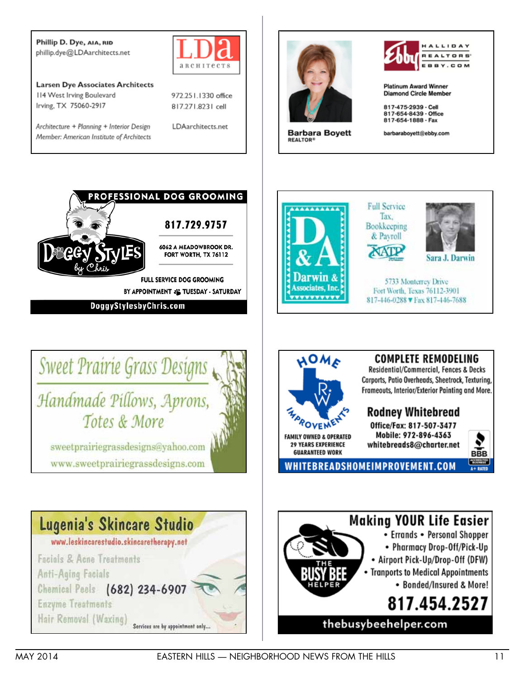Phillip D. Dye, AIA, RID phillip.dye@LDAarchitects.net



**Larsen Dye Associates Architects** 114 West Irving Boulevard Irving, TX 75060-2917

Architecture + Planning + Interior Design Member: American Institute of Architects



LDAarchitects.net





conciates. In

**VVVVVV** 

**NOMA** 

OVEN

**FAMILY OWNED & OPERATED 29 YEARS EXPERIENCE** 

**GUARANTEED WORK** 



**Platinum Award Winner Diamond Circle Member** 

817-475-2939 - Cell 817-654-8439 - Office 817-654-1888 - Fax

barbaraboyett@ebby.com

5733 Monterrey Drive

Fort Worth, Texas 76112-3901

817-446-0288 V Fax 817-446-7688

**COMPLETE REMODELING** 

Residential/Commercial, Fences & Decks Carports, Patio Overheads, Sheetrock, Texturing, Frameouts, Interior/Exterior Painting and More.

**Rodney Whitebread** 

Office/Fax: 817-507-3477 Mobile: 972-896-4363

whitebreads8@charter.net

Sara J. Darwin

**Full Service** Tax.

Bookkeeping & Payroll



BY APPOINTMENT :: TUESDAY - SATURDAY

DoggyStylesbyChris.com





**Making YOUR Life Easier** • Errands • Personal Shopper • Pharmacy Drop-Off/Pick-Up • Airport Pick-Up/Drop-Off (DFW) • Tranports to Medical Appointments • Bonded/Insured & More! 817.454.2527

thebusybeehelper.com

WHITEBREADSHOMEIMPROVEMENT.COM

MAY 2014

BBB